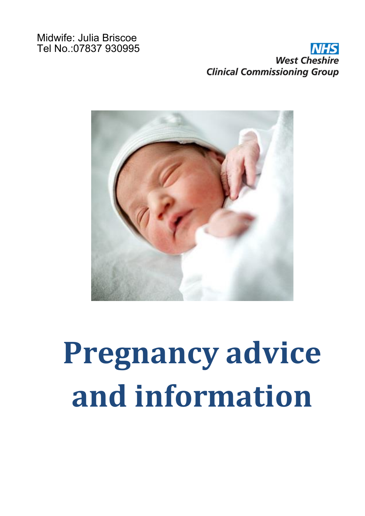#### Midwife: Julia Briscoe Tel No.:07837 930995

## **West Cheshire Clinical Commissioning Group**



# **Pregnancy advice and information**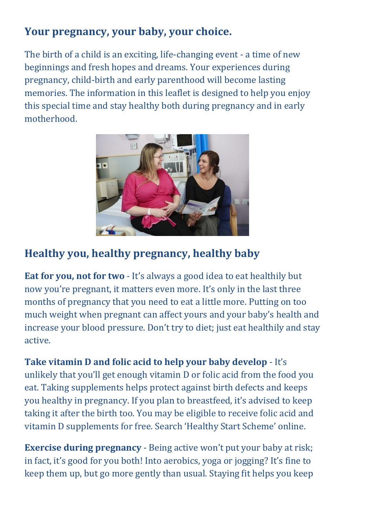#### **Your pregnancy, your baby, your choice.**

The birth of a child is an exciting, life-changing event - a time of new beginnings and fresh hopes and dreams. Your experiences during pregnancy, child-birth and early parenthood will become lasting memories. The information in this leaflet is designed to help you enjoy this special time and stay healthy both during pregnancy and in early motherhood.



#### **Healthy you, healthy pregnancy, healthy baby**

**Eat for you, not for two** - It's always a good idea to eat healthily but now you're pregnant, it matters even more. It's only in the last three months of pregnancy that you need to eat a little more. Putting on too much weight when pregnant can affect yours and your baby's health and increase your blood pressure. Don't try to diet; just eat healthily and stay active.

**Take vitamin D and folic acid to help your baby develop** - It's unlikely that you'll get enough vitamin D or folic acid from the food you eat. Taking supplements helps protect against birth defects and keeps you healthy in pregnancy. If you plan to breastfeed, it's advised to keep taking it after the birth too. You may be eligible to receive folic acid and vitamin D supplements for free. Search 'Healthy Start Scheme' online.

**Exercise during pregnancy** - Being active won't put your baby at risk; in fact, it's good for you both! Into aerobics, yoga or jogging? It's fine to keep them up, but go more gently than usual. Staying fit helps you keep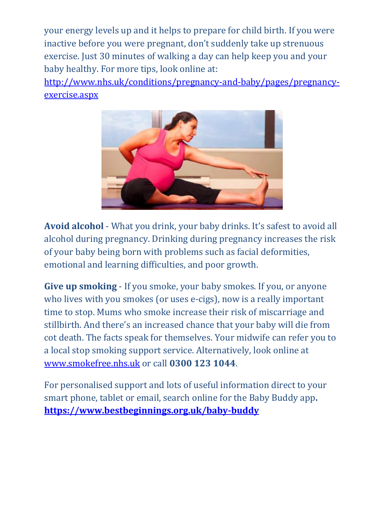your energy levels up and it helps to prepare for child birth. If you were inactive before you were pregnant, don't suddenly take up strenuous exercise. Just 30 minutes of walking a day can help keep you and your baby healthy. For more tips, look online at:

[http://www.nhs.uk/conditions/pregnancy-and-baby/pages/pregnancy](http://www.nhs.uk/conditions/pregnancy-and-baby/pages/pregnancy-exercise.aspx)[exercise.aspx](http://www.nhs.uk/conditions/pregnancy-and-baby/pages/pregnancy-exercise.aspx)



**Avoid alcohol** - What you drink, your baby drinks. It's safest to avoid all alcohol during pregnancy. Drinking during pregnancy increases the risk of your baby being born with problems such as facial deformities, emotional and learning difficulties, and poor growth.

**Give up smoking** - If you smoke, your baby smokes. If you, or anyone who lives with you smokes (or uses e-cigs), now is a really important time to stop. Mums who smoke increase their risk of miscarriage and stillbirth. And there's an increased chance that your baby will die from cot death. The facts speak for themselves. Your midwife can refer you to a local stop smoking support service. Alternatively, look online at [www.smokefree.nhs.uk](http://www.smokefree.nhs.uk/) or call **0300 123 1044**.

For personalised support and lots of useful information direct to your smart phone, tablet or email, search online for the Baby Buddy app**. <https://www.bestbeginnings.org.uk/baby-buddy>**